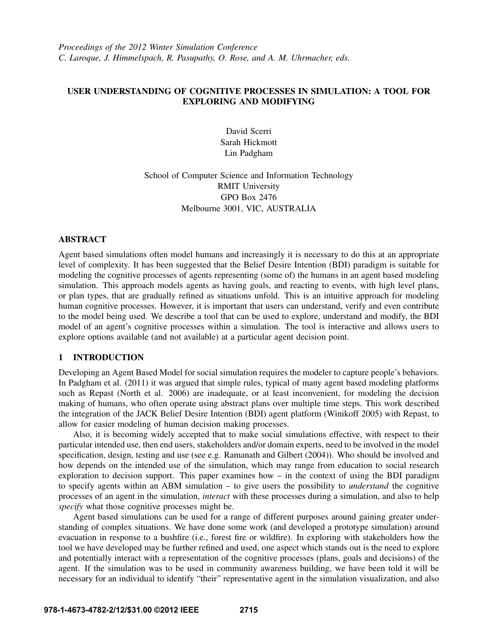*Proceedings of the 2012 Winter Simulation Conference C. Laroque, J. Himmelspach, R. Pasupathy, O. Rose, and A. M. Uhrmacher, eds.*

## USER UNDERSTANDING OF COGNITIVE PROCESSES IN SIMULATION: A TOOL FOR EXPLORING AND MODIFYING

David Scerri Sarah Hickmott Lin Padgham

School of Computer Science and Information Technology RMIT University GPO Box 2476 Melbourne 3001, VIC, AUSTRALIA

### **ABSTRACT**

Agent based simulations often model humans and increasingly it is necessary to do this at an appropriate level of complexity. It has been suggested that the Belief Desire Intention (BDI) paradigm is suitable for modeling the cognitive processes of agents representing (some of) the humans in an agent based modeling simulation. This approach models agents as having goals, and reacting to events, with high level plans, or plan types, that are gradually refined as situations unfold. This is an intuitive approach for modeling human cognitive processes. However, it is important that users can understand, verify and even contribute to the model being used. We describe a tool that can be used to explore, understand and modify, the BDI model of an agent's cognitive processes within a simulation. The tool is interactive and allows users to explore options available (and not available) at a particular agent decision point.

## 1 INTRODUCTION

Developing an Agent Based Model for social simulation requires the modeler to capture people's behaviors. In Padgham et al. (2011) it was argued that simple rules, typical of many agent based modeling platforms such as Repast (North et al. 2006) are inadequate, or at least inconvenient, for modeling the decision making of humans, who often operate using abstract plans over multiple time steps. This work described the integration of the JACK Belief Desire Intention (BDI) agent platform (Winikoff 2005) with Repast, to allow for easier modeling of human decision making processes.

Also, it is becoming widely accepted that to make social simulations effective, with respect to their particular intended use, then end users, stakeholders and/or domain experts, need to be involved in the model specification, design, testing and use (see e.g. Ramanath and Gilbert (2004)). Who should be involved and how depends on the intended use of the simulation, which may range from education to social research exploration to decision support. This paper examines how  $-$  in the context of using the BDI paradigm to specify agents within an ABM simulation – to give users the possibility to *understand* the cognitive processes of an agent in the simulation, *interact* with these processes during a simulation, and also to help *specify* what those cognitive processes might be.

Agent based simulations can be used for a range of different purposes around gaining greater understanding of complex situations. We have done some work (and developed a prototype simulation) around evacuation in response to a bushfire (i.e., forest fire or wildfire). In exploring with stakeholders how the tool we have developed may be further refined and used, one aspect which stands out is the need to explore and potentially interact with a representation of the cognitive processes (plans, goals and decisions) of the agent. If the simulation was to be used in community awareness building, we have been told it will be necessary for an individual to identify "their" representative agent in the simulation visualization, and also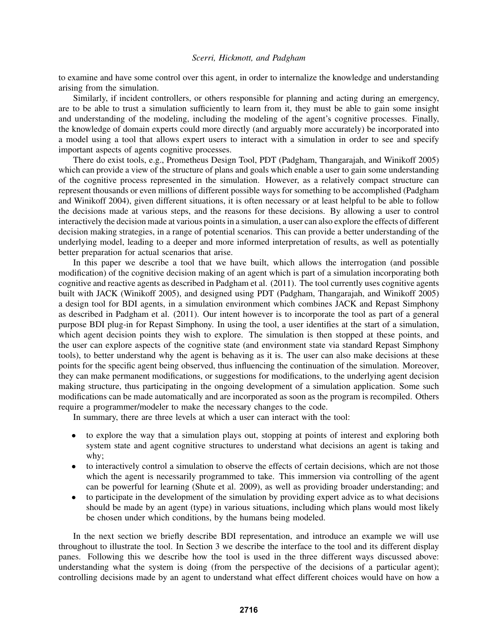to examine and have some control over this agent, in order to internalize the knowledge and understanding arising from the simulation.

Similarly, if incident controllers, or others responsible for planning and acting during an emergency, are to be able to trust a simulation sufficiently to learn from it, they must be able to gain some insight and understanding of the modeling, including the modeling of the agent's cognitive processes. Finally, the knowledge of domain experts could more directly (and arguably more accurately) be incorporated into a model using a tool that allows expert users to interact with a simulation in order to see and specify important aspects of agents cognitive processes.

There do exist tools, e.g., Prometheus Design Tool, PDT (Padgham, Thangarajah, and Winikoff 2005) which can provide a view of the structure of plans and goals which enable a user to gain some understanding of the cognitive process represented in the simulation. However, as a relatively compact structure can represent thousands or even millions of different possible ways for something to be accomplished (Padgham and Winikoff 2004), given different situations, it is often necessary or at least helpful to be able to follow the decisions made at various steps, and the reasons for these decisions. By allowing a user to control interactively the decision made at various points in a simulation, a user can also explore the effects of different decision making strategies, in a range of potential scenarios. This can provide a better understanding of the underlying model, leading to a deeper and more informed interpretation of results, as well as potentially better preparation for actual scenarios that arise.

In this paper we describe a tool that we have built, which allows the interrogation (and possible modification) of the cognitive decision making of an agent which is part of a simulation incorporating both cognitive and reactive agents as described in Padgham et al. (2011). The tool currently uses cognitive agents built with JACK (Winikoff 2005), and designed using PDT (Padgham, Thangarajah, and Winikoff 2005) a design tool for BDI agents, in a simulation environment which combines JACK and Repast Simphony as described in Padgham et al. (2011). Our intent however is to incorporate the tool as part of a general purpose BDI plug-in for Repast Simphony. In using the tool, a user identifies at the start of a simulation, which agent decision points they wish to explore. The simulation is then stopped at these points, and the user can explore aspects of the cognitive state (and environment state via standard Repast Simphony tools), to better understand why the agent is behaving as it is. The user can also make decisions at these points for the specific agent being observed, thus influencing the continuation of the simulation. Moreover, they can make permanent modifications, or suggestions for modifications, to the underlying agent decision making structure, thus participating in the ongoing development of a simulation application. Some such modifications can be made automatically and are incorporated as soon as the program is recompiled. Others require a programmer/modeler to make the necessary changes to the code.

In summary, there are three levels at which a user can interact with the tool:

- to explore the way that a simulation plays out, stopping at points of interest and exploring both system state and agent cognitive structures to understand what decisions an agent is taking and why;
- to interactively control a simulation to observe the effects of certain decisions, which are not those which the agent is necessarily programmed to take. This immersion via controlling of the agent can be powerful for learning (Shute et al. 2009), as well as providing broader understanding; and
- to participate in the development of the simulation by providing expert advice as to what decisions should be made by an agent (type) in various situations, including which plans would most likely be chosen under which conditions, by the humans being modeled.

In the next section we briefly describe BDI representation, and introduce an example we will use throughout to illustrate the tool. In Section 3 we describe the interface to the tool and its different display panes. Following this we describe how the tool is used in the three different ways discussed above: understanding what the system is doing (from the perspective of the decisions of a particular agent); controlling decisions made by an agent to understand what effect different choices would have on how a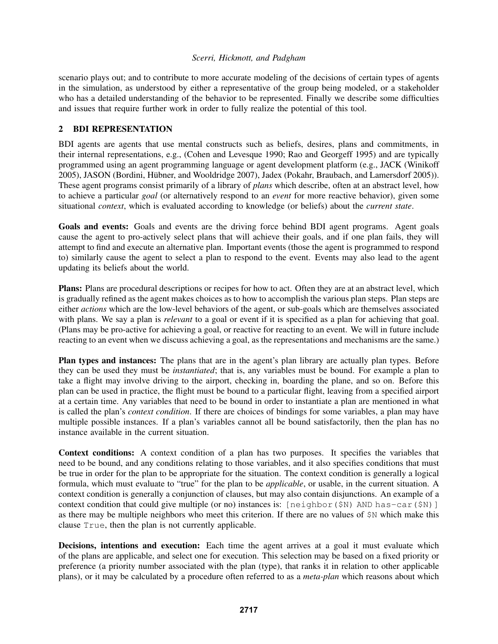scenario plays out; and to contribute to more accurate modeling of the decisions of certain types of agents in the simulation, as understood by either a representative of the group being modeled, or a stakeholder who has a detailed understanding of the behavior to be represented. Finally we describe some difficulties and issues that require further work in order to fully realize the potential of this tool.

## 2 BDI REPRESENTATION

BDI agents are agents that use mental constructs such as beliefs, desires, plans and commitments, in their internal representations, e.g., (Cohen and Levesque 1990; Rao and Georgeff 1995) and are typically programmed using an agent programming language or agent development platform (e.g., JACK (Winikoff 2005), JASON (Bordini, Hübner, and Wooldridge 2007), Jadex (Pokahr, Braubach, and Lamersdorf 2005)). These agent programs consist primarily of a library of *plans* which describe, often at an abstract level, how to achieve a particular *goal* (or alternatively respond to an *event* for more reactive behavior), given some situational *context*, which is evaluated according to knowledge (or beliefs) about the *current state*.

Goals and events: Goals and events are the driving force behind BDI agent programs. Agent goals cause the agent to pro-actively select plans that will achieve their goals, and if one plan fails, they will attempt to find and execute an alternative plan. Important events (those the agent is programmed to respond to) similarly cause the agent to select a plan to respond to the event. Events may also lead to the agent updating its beliefs about the world.

Plans: Plans are procedural descriptions or recipes for how to act. Often they are at an abstract level, which is gradually refined as the agent makes choices as to how to accomplish the various plan steps. Plan steps are either *actions* which are the low-level behaviors of the agent, or sub-goals which are themselves associated with plans. We say a plan is *relevant* to a goal or event if it is specified as a plan for achieving that goal. (Plans may be pro-active for achieving a goal, or reactive for reacting to an event. We will in future include reacting to an event when we discuss achieving a goal, as the representations and mechanisms are the same.)

Plan types and instances: The plans that are in the agent's plan library are actually plan types. Before they can be used they must be *instantiated*; that is, any variables must be bound. For example a plan to take a flight may involve driving to the airport, checking in, boarding the plane, and so on. Before this plan can be used in practice, the flight must be bound to a particular flight, leaving from a specified airport at a certain time. Any variables that need to be bound in order to instantiate a plan are mentioned in what is called the plan's *context condition*. If there are choices of bindings for some variables, a plan may have multiple possible instances. If a plan's variables cannot all be bound satisfactorily, then the plan has no instance available in the current situation.

Context conditions: A context condition of a plan has two purposes. It specifies the variables that need to be bound, and any conditions relating to those variables, and it also specifies conditions that must be true in order for the plan to be appropriate for the situation. The context condition is generally a logical formula, which must evaluate to "true" for the plan to be *applicable*, or usable, in the current situation. A context condition is generally a conjunction of clauses, but may also contain disjunctions. An example of a context condition that could give multiple (or no) instances is:  $[neighbor(SN) AND has-car(SN)]$ as there may be multiple neighbors who meet this criterion. If there are no values of \$N which make this clause True, then the plan is not currently applicable.

Decisions, intentions and execution: Each time the agent arrives at a goal it must evaluate which of the plans are applicable, and select one for execution. This selection may be based on a fixed priority or preference (a priority number associated with the plan (type), that ranks it in relation to other applicable plans), or it may be calculated by a procedure often referred to as a *meta-plan* which reasons about which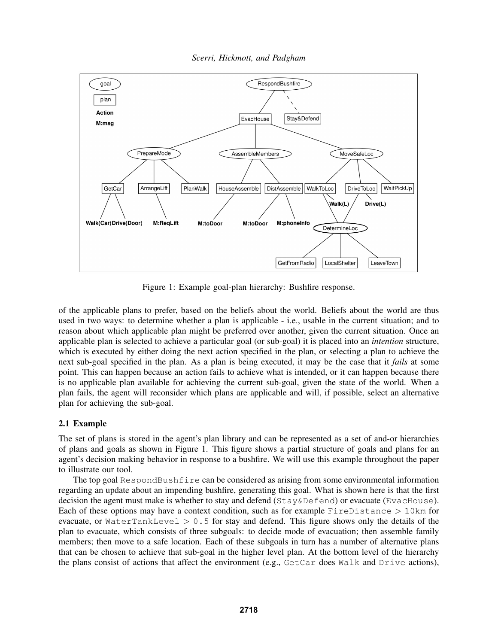

*Scerri, Hickmott, and Padgham*

Figure 1: Example goal-plan hierarchy: Bushfire response.

of the applicable plans to prefer, based on the beliefs about the world. Beliefs about the world are thus used in two ways: to determine whether a plan is applicable - i.e., usable in the current situation; and to reason about which applicable plan might be preferred over another, given the current situation. Once an applicable plan is selected to achieve a particular goal (or sub-goal) it is placed into an *intention* structure, which is executed by either doing the next action specified in the plan, or selecting a plan to achieve the next sub-goal specified in the plan. As a plan is being executed, it may be the case that it *fails* at some point. This can happen because an action fails to achieve what is intended, or it can happen because there is no applicable plan available for achieving the current sub-goal, given the state of the world. When a plan fails, the agent will reconsider which plans are applicable and will, if possible, select an alternative plan for achieving the sub-goal.

# 2.1 Example

The set of plans is stored in the agent's plan library and can be represented as a set of and-or hierarchies of plans and goals as shown in Figure 1. This figure shows a partial structure of goals and plans for an agent's decision making behavior in response to a bushfire. We will use this example throughout the paper to illustrate our tool.

The top goal RespondBushfire can be considered as arising from some environmental information regarding an update about an impending bushfire, generating this goal. What is shown here is that the first decision the agent must make is whether to stay and defend (Stay&Defend) or evacuate (EvacHouse). Each of these options may have a context condition, such as for example  $\text{FireDistance} > 10 \text{km}$  for evacuate, or  $\text{WaterTankLevel} > 0.5$  for stay and defend. This figure shows only the details of the plan to evacuate, which consists of three subgoals: to decide mode of evacuation; then assemble family members; then move to a safe location. Each of these subgoals in turn has a number of alternative plans that can be chosen to achieve that sub-goal in the higher level plan. At the bottom level of the hierarchy the plans consist of actions that affect the environment (e.g., GetCar does Walk and Drive actions),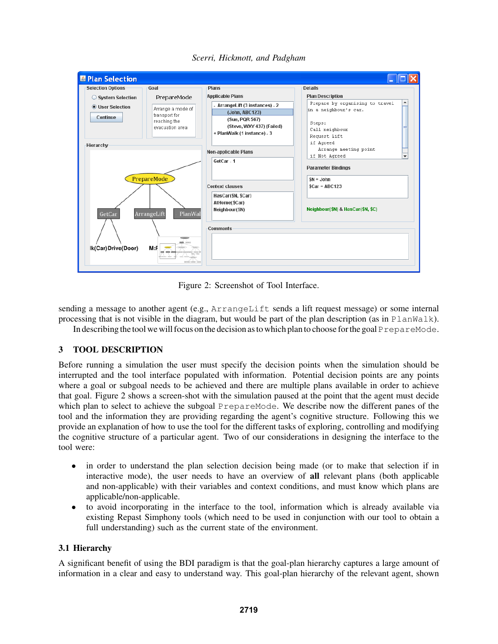

*Scerri, Hickmott, and Padgham*

Figure 2: Screenshot of Tool Interface.

sending a message to another agent (e.g., ArrangeLift sends a lift request message) or some internal processing that is not visible in the diagram, but would be part of the plan description (as in PlanWalk). In describing the tool we will focus on the decision as to which plan to choose for the goal  $PrepareMode$ .

# 3 TOOL DESCRIPTION

Before running a simulation the user must specify the decision points when the simulation should be interrupted and the tool interface populated with information. Potential decision points are any points where a goal or subgoal needs to be achieved and there are multiple plans available in order to achieve that goal. Figure 2 shows a screen-shot with the simulation paused at the point that the agent must decide which plan to select to achieve the subgoal PrepareMode. We describe now the different panes of the tool and the information they are providing regarding the agent's cognitive structure. Following this we provide an explanation of how to use the tool for the different tasks of exploring, controlling and modifying the cognitive structure of a particular agent. Two of our considerations in designing the interface to the tool were:

- in order to understand the plan selection decision being made (or to make that selection if in interactive mode), the user needs to have an overview of all relevant plans (both applicable and non-applicable) with their variables and context conditions, and must know which plans are applicable/non-applicable.
- to avoid incorporating in the interface to the tool, information which is already available via existing Repast Simphony tools (which need to be used in conjunction with our tool to obtain a full understanding) such as the current state of the environment.

# 3.1 Hierarchy

A significant benefit of using the BDI paradigm is that the goal-plan hierarchy captures a large amount of information in a clear and easy to understand way. This goal-plan hierarchy of the relevant agent, shown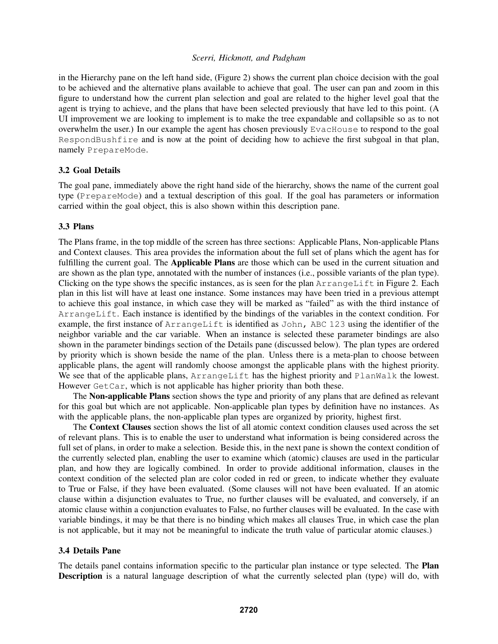in the Hierarchy pane on the left hand side, (Figure 2) shows the current plan choice decision with the goal to be achieved and the alternative plans available to achieve that goal. The user can pan and zoom in this figure to understand how the current plan selection and goal are related to the higher level goal that the agent is trying to achieve, and the plans that have been selected previously that have led to this point. (A UI improvement we are looking to implement is to make the tree expandable and collapsible so as to not overwhelm the user.) In our example the agent has chosen previously EvacHouse to respond to the goal RespondBushfire and is now at the point of deciding how to achieve the first subgoal in that plan, namely PrepareMode.

## 3.2 Goal Details

The goal pane, immediately above the right hand side of the hierarchy, shows the name of the current goal type (PrepareMode) and a textual description of this goal. If the goal has parameters or information carried within the goal object, this is also shown within this description pane.

#### 3.3 Plans

The Plans frame, in the top middle of the screen has three sections: Applicable Plans, Non-applicable Plans and Context clauses. This area provides the information about the full set of plans which the agent has for fulfilling the current goal. The Applicable Plans are those which can be used in the current situation and are shown as the plan type, annotated with the number of instances (i.e., possible variants of the plan type). Clicking on the type shows the specific instances, as is seen for the plan  $Arran\sigma e$ Lift in Figure 2. Each plan in this list will have at least one instance. Some instances may have been tried in a previous attempt to achieve this goal instance, in which case they will be marked as "failed" as with the third instance of ArrangeLift. Each instance is identified by the bindings of the variables in the context condition. For example, the first instance of ArrangeLift is identified as John, ABC 123 using the identifier of the neighbor variable and the car variable. When an instance is selected these parameter bindings are also shown in the parameter bindings section of the Details pane (discussed below). The plan types are ordered by priority which is shown beside the name of the plan. Unless there is a meta-plan to choose between applicable plans, the agent will randomly choose amongst the applicable plans with the highest priority. We see that of the applicable plans, ArrangeLift has the highest priority and PlanWalk the lowest. However GetCar, which is not applicable has higher priority than both these.

The **Non-applicable Plans** section shows the type and priority of any plans that are defined as relevant for this goal but which are not applicable. Non-applicable plan types by definition have no instances. As with the applicable plans, the non-applicable plan types are organized by priority, highest first.

The **Context Clauses** section shows the list of all atomic context condition clauses used across the set of relevant plans. This is to enable the user to understand what information is being considered across the full set of plans, in order to make a selection. Beside this, in the next pane is shown the context condition of the currently selected plan, enabling the user to examine which (atomic) clauses are used in the particular plan, and how they are logically combined. In order to provide additional information, clauses in the context condition of the selected plan are color coded in red or green, to indicate whether they evaluate to True or False, if they have been evaluated. (Some clauses will not have been evaluated. If an atomic clause within a disjunction evaluates to True, no further clauses will be evaluated, and conversely, if an atomic clause within a conjunction evaluates to False, no further clauses will be evaluated. In the case with variable bindings, it may be that there is no binding which makes all clauses True, in which case the plan is not applicable, but it may not be meaningful to indicate the truth value of particular atomic clauses.)

## 3.4 Details Pane

The details panel contains information specific to the particular plan instance or type selected. The **Plan** Description is a natural language description of what the currently selected plan (type) will do, with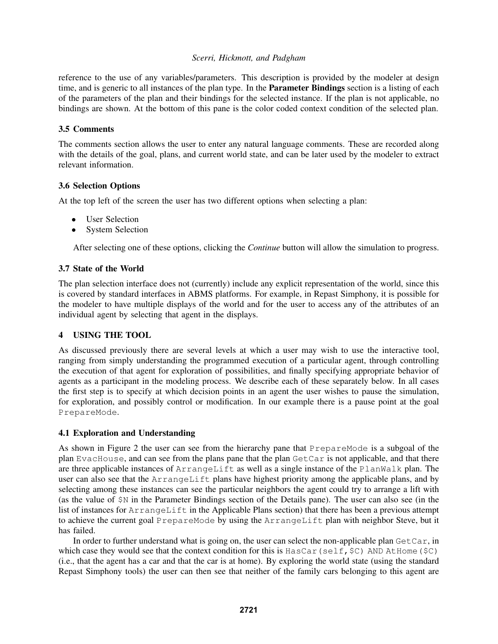reference to the use of any variables/parameters. This description is provided by the modeler at design time, and is generic to all instances of the plan type. In the Parameter Bindings section is a listing of each of the parameters of the plan and their bindings for the selected instance. If the plan is not applicable, no bindings are shown. At the bottom of this pane is the color coded context condition of the selected plan.

## 3.5 Comments

The comments section allows the user to enter any natural language comments. These are recorded along with the details of the goal, plans, and current world state, and can be later used by the modeler to extract relevant information.

# 3.6 Selection Options

At the top left of the screen the user has two different options when selecting a plan:

- User Selection
- System Selection

After selecting one of these options, clicking the *Continue* button will allow the simulation to progress.

## 3.7 State of the World

The plan selection interface does not (currently) include any explicit representation of the world, since this is covered by standard interfaces in ABMS platforms. For example, in Repast Simphony, it is possible for the modeler to have multiple displays of the world and for the user to access any of the attributes of an individual agent by selecting that agent in the displays.

# 4 USING THE TOOL

As discussed previously there are several levels at which a user may wish to use the interactive tool, ranging from simply understanding the programmed execution of a particular agent, through controlling the execution of that agent for exploration of possibilities, and finally specifying appropriate behavior of agents as a participant in the modeling process. We describe each of these separately below. In all cases the first step is to specify at which decision points in an agent the user wishes to pause the simulation, for exploration, and possibly control or modification. In our example there is a pause point at the goal PrepareMode.

## 4.1 Exploration and Understanding

As shown in Figure 2 the user can see from the hierarchy pane that PrepareMode is a subgoal of the plan EvacHouse, and can see from the plans pane that the plan GetCar is not applicable, and that there are three applicable instances of ArrangeLift as well as a single instance of the PlanWalk plan. The user can also see that the ArrangeLift plans have highest priority among the applicable plans, and by selecting among these instances can see the particular neighbors the agent could try to arrange a lift with (as the value of \$N in the Parameter Bindings section of the Details pane). The user can also see (in the list of instances for ArrangeLift in the Applicable Plans section) that there has been a previous attempt to achieve the current goal PrepareMode by using the ArrangeLift plan with neighbor Steve, but it has failed.

In order to further understand what is going on, the user can select the non-applicable plan  $GetCar$ , in which case they would see that the context condition for this is  $\text{HasCar}(self, \text{SC})$  AND At Home ( $\text{SC})$ ) (i.e., that the agent has a car and that the car is at home). By exploring the world state (using the standard Repast Simphony tools) the user can then see that neither of the family cars belonging to this agent are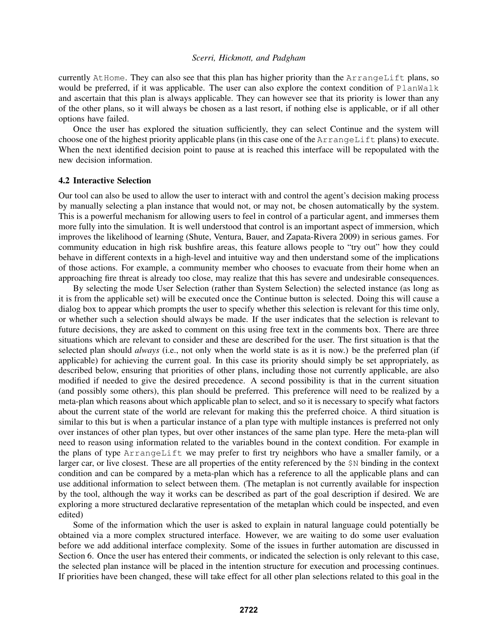currently AtHome. They can also see that this plan has higher priority than the ArrangeLift plans, so would be preferred, if it was applicable. The user can also explore the context condition of PlanWalk and ascertain that this plan is always applicable. They can however see that its priority is lower than any of the other plans, so it will always be chosen as a last resort, if nothing else is applicable, or if all other options have failed.

Once the user has explored the situation sufficiently, they can select Continue and the system will choose one of the highest priority applicable plans (in this case one of the ArrangeLift plans) to execute. When the next identified decision point to pause at is reached this interface will be repopulated with the new decision information.

#### 4.2 Interactive Selection

Our tool can also be used to allow the user to interact with and control the agent's decision making process by manually selecting a plan instance that would not, or may not, be chosen automatically by the system. This is a powerful mechanism for allowing users to feel in control of a particular agent, and immerses them more fully into the simulation. It is well understood that control is an important aspect of immersion, which improves the likelihood of learning (Shute, Ventura, Bauer, and Zapata-Rivera 2009) in serious games. For community education in high risk bushfire areas, this feature allows people to "try out" how they could behave in different contexts in a high-level and intuitive way and then understand some of the implications of those actions. For example, a community member who chooses to evacuate from their home when an approaching fire threat is already too close, may realize that this has severe and undesirable consequences.

By selecting the mode User Selection (rather than System Selection) the selected instance (as long as it is from the applicable set) will be executed once the Continue button is selected. Doing this will cause a dialog box to appear which prompts the user to specify whether this selection is relevant for this time only, or whether such a selection should always be made. If the user indicates that the selection is relevant to future decisions, they are asked to comment on this using free text in the comments box. There are three situations which are relevant to consider and these are described for the user. The first situation is that the selected plan should *always* (i.e., not only when the world state is as it is now.) be the preferred plan (if applicable) for achieving the current goal. In this case its priority should simply be set appropriately, as described below, ensuring that priorities of other plans, including those not currently applicable, are also modified if needed to give the desired precedence. A second possibility is that in the current situation (and possibly some others), this plan should be preferred. This preference will need to be realized by a meta-plan which reasons about which applicable plan to select, and so it is necessary to specify what factors about the current state of the world are relevant for making this the preferred choice. A third situation is similar to this but is when a particular instance of a plan type with multiple instances is preferred not only over instances of other plan types, but over other instances of the same plan type. Here the meta-plan will need to reason using information related to the variables bound in the context condition. For example in the plans of type ArrangeLift we may prefer to first try neighbors who have a smaller family, or a larger car, or live closest. These are all properties of the entity referenced by the \$N binding in the context condition and can be compared by a meta-plan which has a reference to all the applicable plans and can use additional information to select between them. (The metaplan is not currently available for inspection by the tool, although the way it works can be described as part of the goal description if desired. We are exploring a more structured declarative representation of the metaplan which could be inspected, and even edited)

Some of the information which the user is asked to explain in natural language could potentially be obtained via a more complex structured interface. However, we are waiting to do some user evaluation before we add additional interface complexity. Some of the issues in further automation are discussed in Section 6. Once the user has entered their comments, or indicated the selection is only relevant to this case, the selected plan instance will be placed in the intention structure for execution and processing continues. If priorities have been changed, these will take effect for all other plan selections related to this goal in the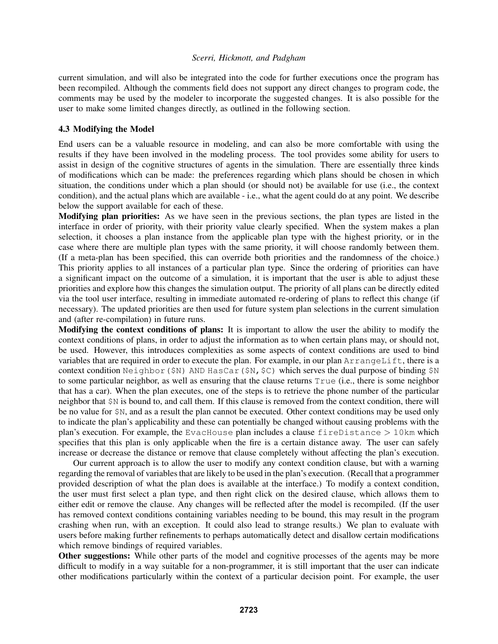current simulation, and will also be integrated into the code for further executions once the program has been recompiled. Although the comments field does not support any direct changes to program code, the comments may be used by the modeler to incorporate the suggested changes. It is also possible for the user to make some limited changes directly, as outlined in the following section.

#### 4.3 Modifying the Model

End users can be a valuable resource in modeling, and can also be more comfortable with using the results if they have been involved in the modeling process. The tool provides some ability for users to assist in design of the cognitive structures of agents in the simulation. There are essentially three kinds of modifications which can be made: the preferences regarding which plans should be chosen in which situation, the conditions under which a plan should (or should not) be available for use (i.e., the context condition), and the actual plans which are available - i.e., what the agent could do at any point. We describe below the support available for each of these.

Modifying plan priorities: As we have seen in the previous sections, the plan types are listed in the interface in order of priority, with their priority value clearly specified. When the system makes a plan selection, it chooses a plan instance from the applicable plan type with the highest priority, or in the case where there are multiple plan types with the same priority, it will choose randomly between them. (If a meta-plan has been specified, this can override both priorities and the randomness of the choice.) This priority applies to all instances of a particular plan type. Since the ordering of priorities can have a significant impact on the outcome of a simulation, it is important that the user is able to adjust these priorities and explore how this changes the simulation output. The priority of all plans can be directly edited via the tool user interface, resulting in immediate automated re-ordering of plans to reflect this change (if necessary). The updated priorities are then used for future system plan selections in the current simulation and (after re-compilation) in future runs.

Modifying the context conditions of plans: It is important to allow the user the ability to modify the context conditions of plans, in order to adjust the information as to when certain plans may, or should not, be used. However, this introduces complexities as some aspects of context conditions are used to bind variables that are required in order to execute the plan. For example, in our plan ArrangeLift, there is a context condition Neighbor(\$N) AND HasCar(\$N, \$C) which serves the dual purpose of binding \$N to some particular neighbor, as well as ensuring that the clause returns True (i.e., there is some neighbor that has a car). When the plan executes, one of the steps is to retrieve the phone number of the particular neighbor that \$N is bound to, and call them. If this clause is removed from the context condition, there will be no value for \$N, and as a result the plan cannot be executed. Other context conditions may be used only to indicate the plan's applicability and these can potentially be changed without causing problems with the plan's execution. For example, the EvacHouse plan includes a clause  $fireDistance > 10km$  which specifies that this plan is only applicable when the fire is a certain distance away. The user can safely increase or decrease the distance or remove that clause completely without affecting the plan's execution.

Our current approach is to allow the user to modify any context condition clause, but with a warning regarding the removal of variables that are likely to be used in the plan's execution. (Recall that a programmer provided description of what the plan does is available at the interface.) To modify a context condition, the user must first select a plan type, and then right click on the desired clause, which allows them to either edit or remove the clause. Any changes will be reflected after the model is recompiled. (If the user has removed context conditions containing variables needing to be bound, this may result in the program crashing when run, with an exception. It could also lead to strange results.) We plan to evaluate with users before making further refinements to perhaps automatically detect and disallow certain modifications which remove bindings of required variables.

Other suggestions: While other parts of the model and cognitive processes of the agents may be more difficult to modify in a way suitable for a non-programmer, it is still important that the user can indicate other modifications particularly within the context of a particular decision point. For example, the user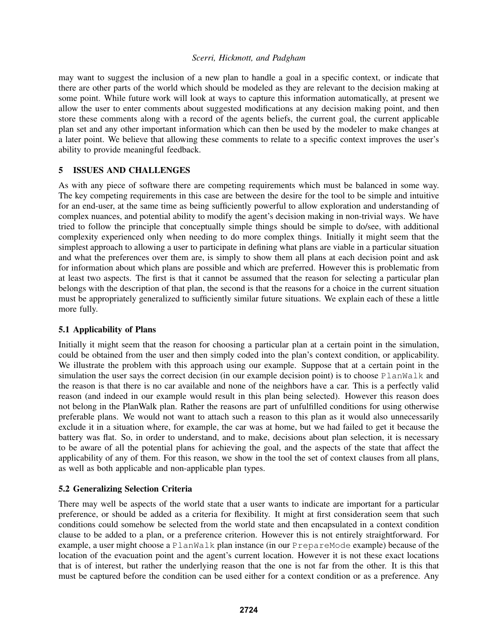may want to suggest the inclusion of a new plan to handle a goal in a specific context, or indicate that there are other parts of the world which should be modeled as they are relevant to the decision making at some point. While future work will look at ways to capture this information automatically, at present we allow the user to enter comments about suggested modifications at any decision making point, and then store these comments along with a record of the agents beliefs, the current goal, the current applicable plan set and any other important information which can then be used by the modeler to make changes at a later point. We believe that allowing these comments to relate to a specific context improves the user's ability to provide meaningful feedback.

# 5 ISSUES AND CHALLENGES

As with any piece of software there are competing requirements which must be balanced in some way. The key competing requirements in this case are between the desire for the tool to be simple and intuitive for an end-user, at the same time as being sufficiently powerful to allow exploration and understanding of complex nuances, and potential ability to modify the agent's decision making in non-trivial ways. We have tried to follow the principle that conceptually simple things should be simple to do/see, with additional complexity experienced only when needing to do more complex things. Initially it might seem that the simplest approach to allowing a user to participate in defining what plans are viable in a particular situation and what the preferences over them are, is simply to show them all plans at each decision point and ask for information about which plans are possible and which are preferred. However this is problematic from at least two aspects. The first is that it cannot be assumed that the reason for selecting a particular plan belongs with the description of that plan, the second is that the reasons for a choice in the current situation must be appropriately generalized to sufficiently similar future situations. We explain each of these a little more fully.

# 5.1 Applicability of Plans

Initially it might seem that the reason for choosing a particular plan at a certain point in the simulation, could be obtained from the user and then simply coded into the plan's context condition, or applicability. We illustrate the problem with this approach using our example. Suppose that at a certain point in the simulation the user says the correct decision (in our example decision point) is to choose PlanWalk and the reason is that there is no car available and none of the neighbors have a car. This is a perfectly valid reason (and indeed in our example would result in this plan being selected). However this reason does not belong in the PlanWalk plan. Rather the reasons are part of unfulfilled conditions for using otherwise preferable plans. We would not want to attach such a reason to this plan as it would also unnecessarily exclude it in a situation where, for example, the car was at home, but we had failed to get it because the battery was flat. So, in order to understand, and to make, decisions about plan selection, it is necessary to be aware of all the potential plans for achieving the goal, and the aspects of the state that affect the applicability of any of them. For this reason, we show in the tool the set of context clauses from all plans, as well as both applicable and non-applicable plan types.

# 5.2 Generalizing Selection Criteria

There may well be aspects of the world state that a user wants to indicate are important for a particular preference, or should be added as a criteria for flexibility. It might at first consideration seem that such conditions could somehow be selected from the world state and then encapsulated in a context condition clause to be added to a plan, or a preference criterion. However this is not entirely straightforward. For example, a user might choose a PlanWalk plan instance (in our PrepareMode example) because of the location of the evacuation point and the agent's current location. However it is not these exact locations that is of interest, but rather the underlying reason that the one is not far from the other. It is this that must be captured before the condition can be used either for a context condition or as a preference. Any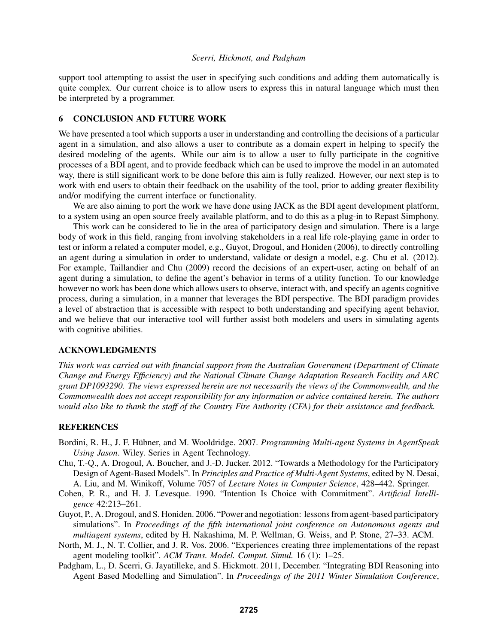support tool attempting to assist the user in specifying such conditions and adding them automatically is quite complex. Our current choice is to allow users to express this in natural language which must then be interpreted by a programmer.

## 6 CONCLUSION AND FUTURE WORK

We have presented a tool which supports a user in understanding and controlling the decisions of a particular agent in a simulation, and also allows a user to contribute as a domain expert in helping to specify the desired modeling of the agents. While our aim is to allow a user to fully participate in the cognitive processes of a BDI agent, and to provide feedback which can be used to improve the model in an automated way, there is still significant work to be done before this aim is fully realized. However, our next step is to work with end users to obtain their feedback on the usability of the tool, prior to adding greater flexibility and/or modifying the current interface or functionality.

We are also aiming to port the work we have done using JACK as the BDI agent development platform, to a system using an open source freely available platform, and to do this as a plug-in to Repast Simphony.

This work can be considered to lie in the area of participatory design and simulation. There is a large body of work in this field, ranging from involving stakeholders in a real life role-playing game in order to test or inform a related a computer model, e.g., Guyot, Drogoul, and Honiden (2006), to directly controlling an agent during a simulation in order to understand, validate or design a model, e.g. Chu et al. (2012). For example, Taillandier and Chu (2009) record the decisions of an expert-user, acting on behalf of an agent during a simulation, to define the agent's behavior in terms of a utility function. To our knowledge however no work has been done which allows users to observe, interact with, and specify an agents cognitive process, during a simulation, in a manner that leverages the BDI perspective. The BDI paradigm provides a level of abstraction that is accessible with respect to both understanding and specifying agent behavior, and we believe that our interactive tool will further assist both modelers and users in simulating agents with cognitive abilities.

#### ACKNOWLEDGMENTS

*This work was carried out with financial support from the Australian Government (Department of Climate Change and Energy Efficiency) and the National Climate Change Adaptation Research Facility and ARC grant DP1093290. The views expressed herein are not necessarily the views of the Commonwealth, and the Commonwealth does not accept responsibility for any information or advice contained herein. The authors would also like to thank the staff of the Country Fire Authority (CFA) for their assistance and feedback.*

#### **REFERENCES**

- Bordini, R. H., J. F. Hübner, and M. Wooldridge. 2007. Programming Multi-agent Systems in AgentSpeak *Using Jason*. Wiley. Series in Agent Technology.
- Chu, T.-Q., A. Drogoul, A. Boucher, and J.-D. Jucker. 2012. "Towards a Methodology for the Participatory Design of Agent-Based Models". In *Principles and Practice of Multi-Agent Systems*, edited by N. Desai, A. Liu, and M. Winikoff, Volume 7057 of *Lecture Notes in Computer Science*, 428–442. Springer.
- Cohen, P. R., and H. J. Levesque. 1990. "Intention Is Choice with Commitment". *Artificial Intelligence* 42:213–261.
- Guyot, P., A. Drogoul, and S. Honiden. 2006. "Power and negotiation: lessons from agent-based participatory simulations". In *Proceedings of the fifth international joint conference on Autonomous agents and multiagent systems*, edited by H. Nakashima, M. P. Wellman, G. Weiss, and P. Stone, 27–33. ACM.
- North, M. J., N. T. Collier, and J. R. Vos. 2006. "Experiences creating three implementations of the repast agent modeling toolkit". *ACM Trans. Model. Comput. Simul.* 16 (1): 1–25.
- Padgham, L., D. Scerri, G. Jayatilleke, and S. Hickmott. 2011, December. "Integrating BDI Reasoning into Agent Based Modelling and Simulation". In *Proceedings of the 2011 Winter Simulation Conference*,